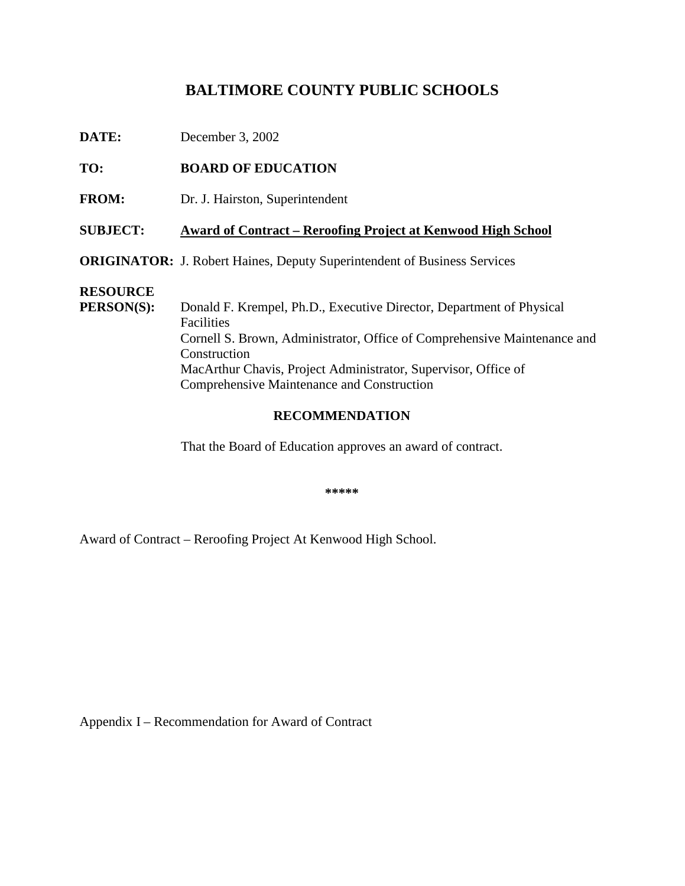# **BALTIMORECOUNTYPUBLICSCHOOLS**

| DATE:                         | December3,2002                                                                                                                                                                                                                                                                    |  |  |  |
|-------------------------------|-----------------------------------------------------------------------------------------------------------------------------------------------------------------------------------------------------------------------------------------------------------------------------------|--|--|--|
| TO:                           | <b>BOARDOFEDUCATION</b>                                                                                                                                                                                                                                                           |  |  |  |
| <b>FROM:</b>                  | Dr.J.Hairston,Superintendent                                                                                                                                                                                                                                                      |  |  |  |
| <b>SUBJECT:</b>               | AwardofContract -ReroofingProjectatKenwoodHighSchool                                                                                                                                                                                                                              |  |  |  |
|                               | <b>ORIGINATOR:</b> J.RobertHaines, DeputySuperintendentofBu<br>sinessServices                                                                                                                                                                                                     |  |  |  |
| <b>RESOURCE</b><br>PERSON(S): | DonaldF.Krempel,Ph.D.,ExecutiveDirector,DepartmentofPhysical<br>Facilities<br>CornellS.Brown, Administrator, Office of Comprehensive Maintenance and<br>Construction<br>MacArthurChavis, ProjectAdministrator, Supervisor<br>Office of<br>ComprehensiveMaintenanceandConstruction |  |  |  |

## **RECOMMENDATION**

That the Board of Education approves an award of contract.

**\*\*\*\*\***

Award of Contract – Reroofing Project At Kenwood High School.

AppendixI –RecommendationforAwardofC ontract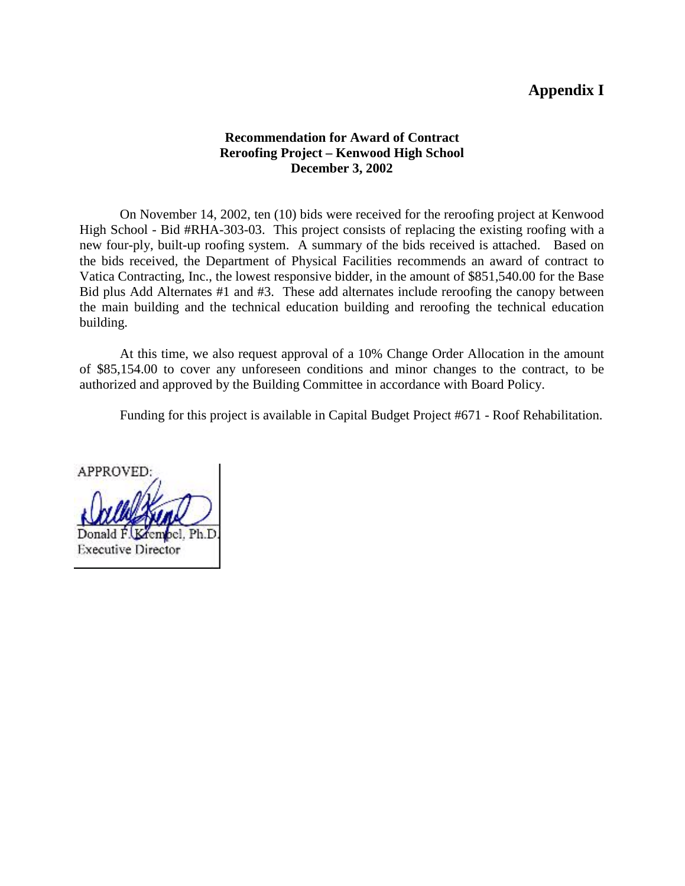# **AppendixI**

#### **Recommendation for Award of Contract Reroofing Project – Kenwood High School December 3, 2002**

OnNovember 14, 2002, ten (10) bids were received for the reroofing project at Kenwood High School - Bid#RHA -303-03. This project consists of replacing the existing roofing with a new four -ply, built -up roofing system. A summary of the bids received is attached. Based on the bids received, the Department of Physical Facilities recommends an award of contract to Vatica Contracting , Inc., the lowest responsive bidder, in the amount of \$851,540.00 for the Base Bid plus Add Alternates #1 and #3. These add alternates include reroofing the canopy between the main building and the technical education building and reroofing the technical education building.

At this time, we also request approval of a 10% Change Order Allocation in the amount of \$85,154.00 to cover any unforeseen conditions and minor changes to the contract, to be authorized and approved by the Building Committee in acc ordance with Board Policy.

Funding for this project is available in Capital Budget Project #671 - Roof Rehabilitation.

APPROVED: **Executive Director**